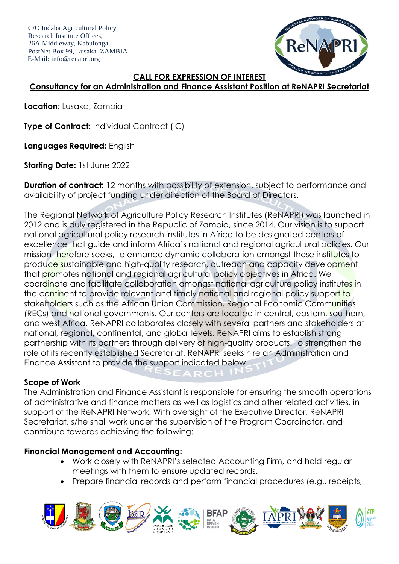C/O Indaba Agricultural Policy Research Institute Offices, 26A Middleway, Kabulonga. PostNet Box 99, Lusaka. ZAMBIA E-Mail: info@renapri.org



#### **CALL FOR EXPRESSION OF INTEREST**

# **Consultancy for an Administration and Finance Assistant Position at ReNAPRI Secretariat**

**Location**: Lusaka, Zambia

**Type of Contract:** Individual Contract (IC)

**Languages Required:** English

**Starting Date:** 1st June 2022

**Duration of contract:** 12 months with possibility of extension, subject to performance and availability of project funding under direction of the Board of Directors.

The Regional Network of Agriculture Policy Research Institutes (ReNAPRI) was launched in 2012 and is duly registered in the Republic of Zambia, since 2014. Our vision is to support national agricultural policy research institutes in Africa to be designated centers of excellence that guide and inform Africa's national and regional agricultural policies. Our mission therefore seeks, to enhance dynamic collaboration amongst these institutes to produce sustainable and high-quality research, outreach and capacity development that promotes national and regional agricultural policy objectives in Africa. We coordinate and facilitate collaboration amongst national agriculture policy institutes in the continent to provide relevant and timely national and regional policy support to stakeholders such as the African Union Commission, Regional Economic Communities (RECs) and national governments. Our centers are located in central, eastern, southern, and west Africa. ReNAPRI collaborates closely with several partners and stakeholders at national, regional, continental, and global levels. ReNAPRI aims to establish strong partnership with its partners through delivery of high-quality products. To strengthen the role of its recently established Secretariat, ReNAPRI seeks hire an Administration and Finance Assistant to provide the support indicated below.

### **Scope of Work**

The Administration and Finance Assistant is responsible for ensuring the smooth operations of administrative and finance matters as well as logistics and other related activities, in support of the ReNAPRI Network. With oversight of the Executive Director, ReNAPRI Secretariat, s/he shall work under the supervision of the Program Coordinator, and contribute towards achieving the following:

 $\mathsf{SE} \mathsf{A} \mathsf{R} \mathsf{C} \mathsf{H}$ 

### **Financial Management and Accounting:**

- Work closely with ReNAPRI's selected Accounting Firm, and hold regular meetings with them to ensure updated records.
- Prepare financial records and perform financial procedures (e.g., receipts,

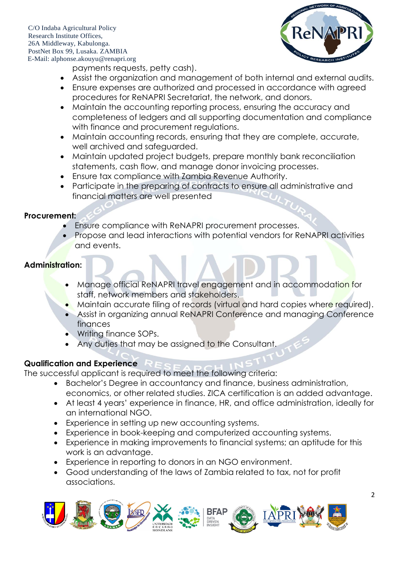C/O Indaba Agricultural Policy Research Institute Offices, 26A Middleway, Kabulonga. PostNet Box 99, Lusaka. ZAMBIA E-Mail: alphonse.akouyu@renapri.org



payments requests, petty cash).

- Assist the organization and management of both internal and external audits.
- Ensure expenses are authorized and processed in accordance with agreed procedures for ReNAPRI Secretariat, the network, and donors.
- Maintain the accounting reporting process, ensuring the accuracy and completeness of ledgers and all supporting documentation and compliance with finance and procurement regulations.
- Maintain accounting records, ensuring that they are complete, accurate, well archived and safeguarded.
- Maintain updated project budgets, prepare monthly bank reconciliation statements, cash flow, and manage donor invoicing processes.
- Ensure tax compliance with Zambia Revenue Authority.
- Participate in the preparing of contracts to ensure all administrative and financial matters are well presented

### **Procurement:**

- Ensure compliance with ReNAPRI procurement processes.
- Propose and lead interactions with potential vendors for ReNAPRI activities and events.

## **Administration:**

- Manage official ReNAPRI travel engagement and in accommodation for staff, network members and stakeholders.
- Maintain accurate filing of records (virtual and hard copies where required).
- Assist in organizing annual ReNAPRI Conference and managing Conference finances
- Writing finance SOPs.
- Any duties that may be assigned to the Consultant.

## **Qualification and Experience**

The successful applicant is required to meet the following criteria:

- Bachelor's Degree in accountancy and finance, business administration, economics, or other related studies. ZICA certification is an added advantage.
- At least 4 years' experience in finance, HR, and office administration, ideally for an international NGO.
- Experience in setting up new accounting systems.
- Experience in book-keeping and computerized accounting systems.
- Experience in making improvements to financial systems; an aptitude for this work is an advantage.
- Experience in reporting to donors in an NGO environment.
- Good understanding of the laws of Zambia related to tax, not for profit associations.